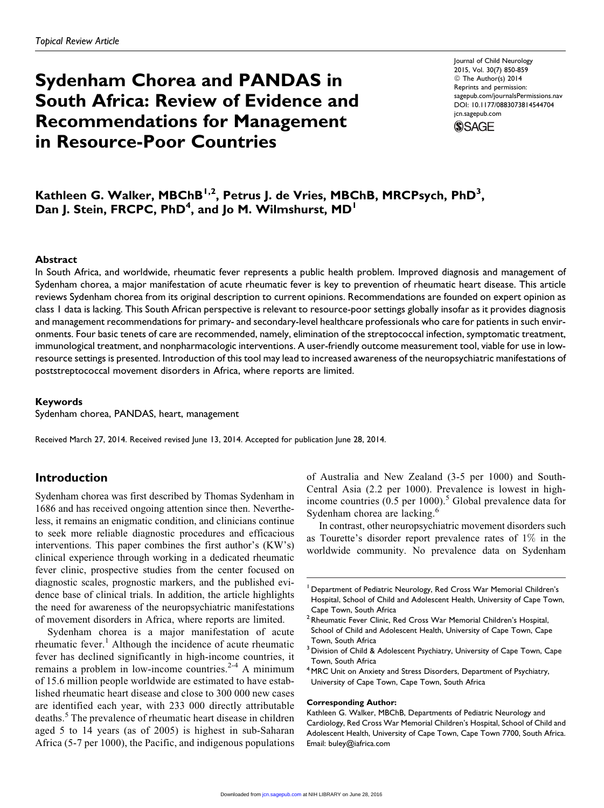# Sydenham Chorea and PANDAS in South Africa: Review of Evidence and Recommendations for Management in Resource-Poor Countries

Journal of Child Neurology 2015, Vol. 30(7) 850-859 © The Author(s) 2014 Reprints and permission: [sagepub.com/journalsPermissions.nav](http://www.sagepub.com/journalsPermissions.nav) DOI: 10.1177/0883073814544704 [jcn.sagepub.com](http://jcn.sagepub.com)



Kathleen G. Walker, MBChB<sup>1,2</sup>, Petrus J. de Vries, MBChB, MRCPsych, PhD<sup>3</sup>, Dan J. Stein, FRCPC, PhD<sup>4</sup>, and Jo M. Wilmshurst, MD<sup>1</sup>

#### Abstract

In South Africa, and worldwide, rheumatic fever represents a public health problem. Improved diagnosis and management of Sydenham chorea, a major manifestation of acute rheumatic fever is key to prevention of rheumatic heart disease. This article reviews Sydenham chorea from its original description to current opinions. Recommendations are founded on expert opinion as class 1 data is lacking. This South African perspective is relevant to resource-poor settings globally insofar as it provides diagnosis and management recommendations for primary- and secondary-level healthcare professionals who care for patients in such environments. Four basic tenets of care are recommended, namely, elimination of the streptococcal infection, symptomatic treatment, immunological treatment, and nonpharmacologic interventions. A user-friendly outcome measurement tool, viable for use in lowresource settings is presented. Introduction of this tool may lead to increased awareness of the neuropsychiatric manifestations of poststreptococcal movement disorders in Africa, where reports are limited.

#### Keywords

Sydenham chorea, PANDAS, heart, management

Received March 27, 2014. Received revised June 13, 2014. Accepted for publication June 28, 2014.

## Introduction

Sydenham chorea was first described by Thomas Sydenham in 1686 and has received ongoing attention since then. Nevertheless, it remains an enigmatic condition, and clinicians continue to seek more reliable diagnostic procedures and efficacious interventions. This paper combines the first author's (KW's) clinical experience through working in a dedicated rheumatic fever clinic, prospective studies from the center focused on diagnostic scales, prognostic markers, and the published evidence base of clinical trials. In addition, the article highlights the need for awareness of the neuropsychiatric manifestations of movement disorders in Africa, where reports are limited.

Sydenham chorea is a major manifestation of acute rheumatic fever.<sup>1</sup> Although the incidence of acute rheumatic fever has declined significantly in high-income countries, it remains a problem in low-income countries.<sup>2-4</sup> A minimum of 15.6 million people worldwide are estimated to have established rheumatic heart disease and close to 300 000 new cases are identified each year, with 233 000 directly attributable deaths.<sup>5</sup> The prevalence of rheumatic heart disease in children aged 5 to 14 years (as of 2005) is highest in sub-Saharan Africa (5-7 per 1000), the Pacific, and indigenous populations of Australia and New Zealand (3-5 per 1000) and South-Central Asia (2.2 per 1000). Prevalence is lowest in highincome countries (0.5 per 1000).<sup>5</sup> Global prevalence data for Sydenham chorea are lacking.<sup>6</sup>

In contrast, other neuropsychiatric movement disorders such as Tourette's disorder report prevalence rates of 1% in the worldwide community. No prevalence data on Sydenham

#### Corresponding Author:

Kathleen G. Walker, MBChB, Departments of Pediatric Neurology and Cardiology, Red Cross War Memorial Children's Hospital, School of Child and Adolescent Health, University of Cape Town, Cape Town 7700, South Africa. Email: buley@iafrica.com

<sup>&</sup>lt;sup>1</sup> Department of Pediatric Neurology, Red Cross War Memorial Children's Hospital, School of Child and Adolescent Health, University of Cape Town, Cape Town, South Africa

<sup>&</sup>lt;sup>2</sup> Rheumatic Fever Clinic, Red Cross War Memorial Children's Hospital, School of Child and Adolescent Health, University of Cape Town, Cape Town, South Africa

<sup>3</sup> Division of Child & Adolescent Psychiatry, University of Cape Town, Cape Town, South Africa

<sup>&</sup>lt;sup>4</sup> MRC Unit on Anxiety and Stress Disorders, Department of Psychiatry, University of Cape Town, Cape Town, South Africa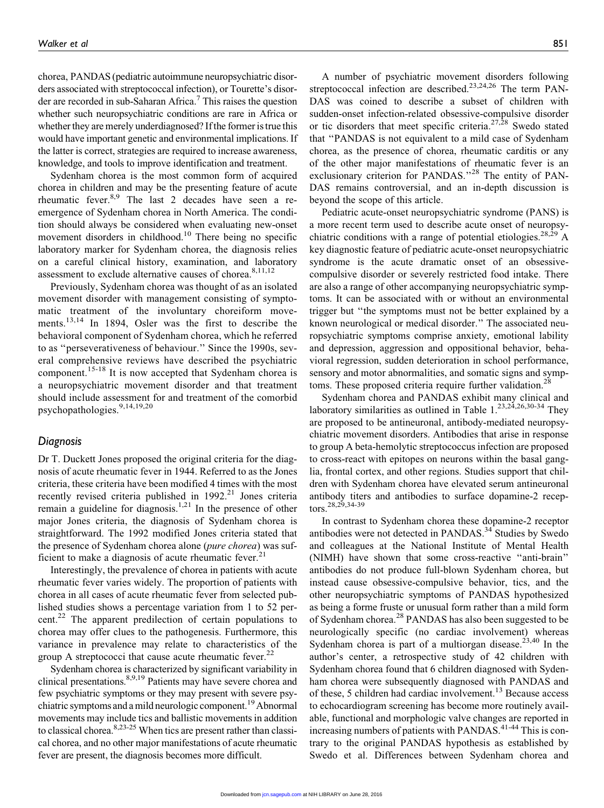chorea, PANDAS (pediatric autoimmune neuropsychiatric disorders associated with streptococcal infection), or Tourette's disorder are recorded in sub-Saharan Africa.<sup>7</sup> This raises the question whether such neuropsychiatric conditions are rare in Africa or whether they are merely underdiagnosed? If the former is true this would have important genetic and environmental implications. If the latter is correct, strategies are required to increase awareness, knowledge, and tools to improve identification and treatment.

Sydenham chorea is the most common form of acquired chorea in children and may be the presenting feature of acute rheumatic fever. $8.9$  The last 2 decades have seen a reemergence of Sydenham chorea in North America. The condition should always be considered when evaluating new-onset movement disorders in childhood.<sup>10</sup> There being no specific laboratory marker for Sydenham chorea, the diagnosis relies on a careful clinical history, examination, and laboratory assessment to exclude alternative causes of chorea. $8,11,12$ 

Previously, Sydenham chorea was thought of as an isolated movement disorder with management consisting of symptomatic treatment of the involuntary choreiform movements.<sup>13,14</sup> In 1894, Osler was the first to describe the behavioral component of Sydenham chorea, which he referred to as ''perseverativeness of behaviour.'' Since the 1990s, several comprehensive reviews have described the psychiatric component.<sup>15-18</sup> It is now accepted that Sydenham chorea is a neuropsychiatric movement disorder and that treatment should include assessment for and treatment of the comorbid psychopathologies. $9,14,19,20$ 

#### Diagnosis

Dr T. Duckett Jones proposed the original criteria for the diagnosis of acute rheumatic fever in 1944. Referred to as the Jones criteria, these criteria have been modified 4 times with the most recently revised criteria published in  $1992.^{21}$  Jones criteria remain a guideline for diagnosis.<sup>1,21</sup> In the presence of other major Jones criteria, the diagnosis of Sydenham chorea is straightforward. The 1992 modified Jones criteria stated that the presence of Sydenham chorea alone (pure chorea) was sufficient to make a diagnosis of acute rheumatic fever.<sup>21</sup>

Interestingly, the prevalence of chorea in patients with acute rheumatic fever varies widely. The proportion of patients with chorea in all cases of acute rheumatic fever from selected published studies shows a percentage variation from 1 to 52 percent.<sup>22</sup> The apparent predilection of certain populations to chorea may offer clues to the pathogenesis. Furthermore, this variance in prevalence may relate to characteristics of the group A streptococci that cause acute rheumatic fever.<sup>22</sup>

Sydenham chorea is characterized by significant variability in clinical presentations.<sup>8,9,19</sup> Patients may have severe chorea and few psychiatric symptoms or they may present with severe psychiatric symptoms and a mild neurologic component.<sup>19</sup> Abnormal movements may include tics and ballistic movements in addition to classical chorea.8,23-25 When tics are present rather than classical chorea, and no other major manifestations of acute rheumatic fever are present, the diagnosis becomes more difficult.

A number of psychiatric movement disorders following streptococcal infection are described.<sup>23,24,26</sup> The term PAN-DAS was coined to describe a subset of children with sudden-onset infection-related obsessive-compulsive disorder or tic disorders that meet specific criteria.<sup>27,28</sup> Swedo stated that ''PANDAS is not equivalent to a mild case of Sydenham chorea, as the presence of chorea, rheumatic carditis or any of the other major manifestations of rheumatic fever is an exclusionary criterion for PANDAS."<sup>28</sup> The entity of PAN-DAS remains controversial, and an in-depth discussion is beyond the scope of this article.

Pediatric acute-onset neuropsychiatric syndrome (PANS) is a more recent term used to describe acute onset of neuropsychiatric conditions with a range of potential etiologies.<sup>28,29</sup> A key diagnostic feature of pediatric acute-onset neuropsychiatric syndrome is the acute dramatic onset of an obsessivecompulsive disorder or severely restricted food intake. There are also a range of other accompanying neuropsychiatric symptoms. It can be associated with or without an environmental trigger but ''the symptoms must not be better explained by a known neurological or medical disorder.'' The associated neuropsychiatric symptoms comprise anxiety, emotional lability and depression, aggression and oppositional behavior, behavioral regression, sudden deterioration in school performance, sensory and motor abnormalities, and somatic signs and symptoms. These proposed criteria require further validation.<sup>28</sup>

Sydenham chorea and PANDAS exhibit many clinical and laboratory similarities as outlined in Table  $1.^{23,24,26,30-34}$  They are proposed to be antineuronal, antibody-mediated neuropsychiatric movement disorders. Antibodies that arise in response to group A beta-hemolytic streptococcus infection are proposed to cross-react with epitopes on neurons within the basal ganglia, frontal cortex, and other regions. Studies support that children with Sydenham chorea have elevated serum antineuronal antibody titers and antibodies to surface dopamine-2 receptors.28,29,34-39

In contrast to Sydenham chorea these dopamine-2 receptor antibodies were not detected in PANDAS.<sup>34</sup> Studies by Swedo and colleagues at the National Institute of Mental Health (NIMH) have shown that some cross-reactive ''anti-brain'' antibodies do not produce full-blown Sydenham chorea, but instead cause obsessive-compulsive behavior, tics, and the other neuropsychiatric symptoms of PANDAS hypothesized as being a forme fruste or unusual form rather than a mild form of Sydenham chorea.<sup>28</sup> PANDAS has also been suggested to be neurologically specific (no cardiac involvement) whereas Sydenham chorea is part of a multiorgan disease.<sup>23,40</sup> In the author's center, a retrospective study of 42 children with Sydenham chorea found that 6 children diagnosed with Sydenham chorea were subsequently diagnosed with PANDAS and of these, 5 children had cardiac involvement.<sup>13</sup> Because access to echocardiogram screening has become more routinely available, functional and morphologic valve changes are reported in increasing numbers of patients with PANDAS. $41-44$  This is contrary to the original PANDAS hypothesis as established by Swedo et al. Differences between Sydenham chorea and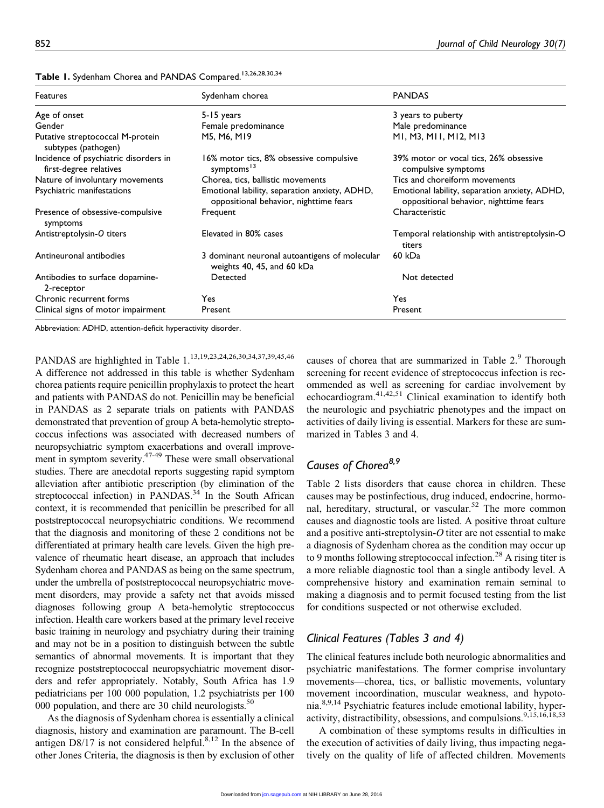| Features                                                        | Sydenham chorea                                                                         | <b>PANDAS</b>                                                                           |
|-----------------------------------------------------------------|-----------------------------------------------------------------------------------------|-----------------------------------------------------------------------------------------|
| Age of onset                                                    | 5-15 years                                                                              | 3 years to puberty                                                                      |
| Gender                                                          | Female predominance                                                                     | Male predominance                                                                       |
| Putative streptococcal M-protein<br>subtypes (pathogen)         | M5, M6, M19                                                                             | MI, M3, MII, MI2, MI3                                                                   |
| Incidence of psychiatric disorders in<br>first-degree relatives | 16% motor tics, 8% obsessive compulsive<br>symptoms <sup>13</sup>                       | 39% motor or vocal tics, 26% obsessive<br>compulsive symptoms                           |
| Nature of involuntary movements                                 | Chorea, tics, ballistic movements                                                       | Tics and choreiform movements                                                           |
| Psychiatric manifestations                                      | Emotional lability, separation anxiety, ADHD,<br>oppositional behavior, nighttime fears | Emotional lability, separation anxiety, ADHD,<br>oppositional behavior, nighttime fears |
| Presence of obsessive-compulsive<br>symptoms                    | Frequent                                                                                | Characteristic                                                                          |
| Antistreptolysin-O titers                                       | Elevated in 80% cases                                                                   | Temporal relationship with antistreptolysin-O<br>titers                                 |
| Antineuronal antibodies                                         | 3 dominant neuronal autoantigens of molecular<br>weights 40, 45, and 60 kDa             | 60 kDa                                                                                  |
| Antibodies to surface dopamine-<br>2-receptor                   | Detected                                                                                | Not detected                                                                            |
| Chronic recurrent forms                                         | Yes                                                                                     | Yes.                                                                                    |
| Clinical signs of motor impairment                              | Present                                                                                 | Present                                                                                 |

Table 1. Sydenham Chorea and PANDAS Compared.<sup>13,26,28,30,34</sup>

Abbreviation: ADHD, attention-deficit hyperactivity disorder.

PANDAS are highlighted in Table 1.<sup>13,19,23,24,26,30,34,37,39,45,46</sup>

A difference not addressed in this table is whether Sydenham chorea patients require penicillin prophylaxis to protect the heart and patients with PANDAS do not. Penicillin may be beneficial in PANDAS as 2 separate trials on patients with PANDAS demonstrated that prevention of group A beta-hemolytic streptococcus infections was associated with decreased numbers of neuropsychiatric symptom exacerbations and overall improvement in symptom severity.<sup>47-49</sup> These were small observational studies. There are anecdotal reports suggesting rapid symptom alleviation after antibiotic prescription (by elimination of the streptococcal infection) in PANDAS.<sup>34</sup> In the South African context, it is recommended that penicillin be prescribed for all poststreptococcal neuropsychiatric conditions. We recommend that the diagnosis and monitoring of these 2 conditions not be differentiated at primary health care levels. Given the high prevalence of rheumatic heart disease, an approach that includes Sydenham chorea and PANDAS as being on the same spectrum, under the umbrella of poststreptococcal neuropsychiatric movement disorders, may provide a safety net that avoids missed diagnoses following group A beta-hemolytic streptococcus infection. Health care workers based at the primary level receive basic training in neurology and psychiatry during their training and may not be in a position to distinguish between the subtle semantics of abnormal movements. It is important that they recognize poststreptococcal neuropsychiatric movement disorders and refer appropriately. Notably, South Africa has 1.9 pediatricians per 100 000 population, 1.2 psychiatrists per 100 000 population, and there are 30 child neurologists. $50$ 

As the diagnosis of Sydenham chorea is essentially a clinical diagnosis, history and examination are paramount. The B-cell antigen  $D8/17$  is not considered helpful.<sup>8,12</sup> In the absence of other Jones Criteria, the diagnosis is then by exclusion of other

causes of chorea that are summarized in Table 2.<sup>9</sup> Thorough screening for recent evidence of streptococcus infection is recommended as well as screening for cardiac involvement by echocardiogram.<sup>41,42,51</sup> Clinical examination to identify both the neurologic and psychiatric phenotypes and the impact on activities of daily living is essential. Markers for these are summarized in Tables 3 and 4.

# Causes of Chorea<sup>8,9</sup>

Table 2 lists disorders that cause chorea in children. These causes may be postinfectious, drug induced, endocrine, hormonal, hereditary, structural, or vascular.<sup>52</sup> The more common causes and diagnostic tools are listed. A positive throat culture and a positive anti-streptolysin- $O$  titer are not essential to make a diagnosis of Sydenham chorea as the condition may occur up to 9 months following streptococcal infection.<sup>28</sup> A rising titer is a more reliable diagnostic tool than a single antibody level. A comprehensive history and examination remain seminal to making a diagnosis and to permit focused testing from the list for conditions suspected or not otherwise excluded.

## Clinical Features (Tables 3 and 4)

The clinical features include both neurologic abnormalities and psychiatric manifestations. The former comprise involuntary movements—chorea, tics, or ballistic movements, voluntary movement incoordination, muscular weakness, and hypotonia.8,9,14 Psychiatric features include emotional lability, hyperactivity, distractibility, obsessions, and compulsions.<sup>9,15,16,18,53</sup>

A combination of these symptoms results in difficulties in the execution of activities of daily living, thus impacting negatively on the quality of life of affected children. Movements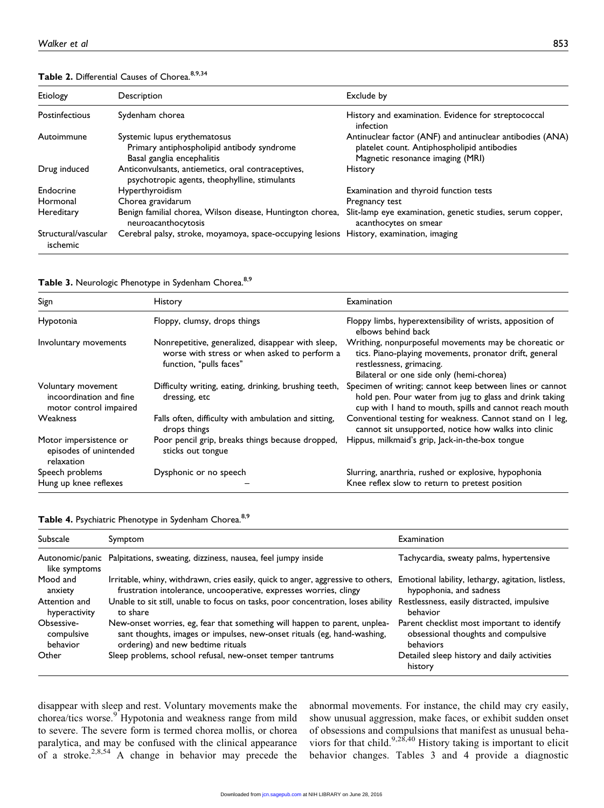| Etiology                        | Description                                                                                              | Exclude by                                                                                                                                   |
|---------------------------------|----------------------------------------------------------------------------------------------------------|----------------------------------------------------------------------------------------------------------------------------------------------|
| Postinfectious                  | Sydenham chorea                                                                                          | History and examination. Evidence for streptococcal<br>infection                                                                             |
| Autoimmune                      | Systemic lupus erythematosus<br>Primary antiphospholipid antibody syndrome<br>Basal ganglia encephalitis | Antinuclear factor (ANF) and antinuclear antibodies (ANA)<br>platelet count. Antiphospholipid antibodies<br>Magnetic resonance imaging (MRI) |
| Drug induced                    | Anticonvulsants, antiemetics, oral contraceptives,<br>psychotropic agents, theophylline, stimulants      | <b>History</b>                                                                                                                               |
| Endocrine                       | <b>Hyperthyroidism</b>                                                                                   | Examination and thyroid function tests                                                                                                       |
| Hormonal                        | Chorea gravidarum                                                                                        | Pregnancy test                                                                                                                               |
| Hereditary                      | Benign familial chorea, Wilson disease, Huntington chorea,<br>neuroacanthocytosis                        | Slit-lamp eye examination, genetic studies, serum copper,<br>acanthocytes on smear                                                           |
| Structural/vascular<br>ischemic | Cerebral palsy, stroke, moyamoya, space-occupying lesions                                                | History, examination, imaging                                                                                                                |

## Table 2. Differential Causes of Chorea. 8,9,34

Table 3. Neurologic Phenotype in Sydenham Chorea.<sup>8,9</sup>

| Sign                                                                    | <b>History</b>                                                                                                               | Examination                                                                                                                                                                             |
|-------------------------------------------------------------------------|------------------------------------------------------------------------------------------------------------------------------|-----------------------------------------------------------------------------------------------------------------------------------------------------------------------------------------|
| Hypotonia                                                               | Floppy, clumsy, drops things                                                                                                 | Floppy limbs, hyperextensibility of wrists, apposition of<br>elbows behind back                                                                                                         |
| Involuntary movements                                                   | Nonrepetitive, generalized, disappear with sleep,<br>worse with stress or when asked to perform a<br>function, "pulls faces" | Writhing, nonpurposeful movements may be choreatic or<br>tics. Piano-playing movements, pronator drift, general<br>restlessness, grimacing.<br>Bilateral or one side only (hemi-chorea) |
| Voluntary movement<br>incoordination and fine<br>motor control impaired | Difficulty writing, eating, drinking, brushing teeth,<br>dressing, etc                                                       | Specimen of writing; cannot keep between lines or cannot<br>hold pen. Pour water from jug to glass and drink taking<br>cup with I hand to mouth, spills and cannot reach mouth          |
| Weakness                                                                | Falls often, difficulty with ambulation and sitting,<br>drops things                                                         | Conventional testing for weakness. Cannot stand on I leg,<br>cannot sit unsupported, notice how walks into clinic                                                                       |
| Motor impersistence or<br>episodes of unintended<br>relaxation          | Poor pencil grip, breaks things because dropped,<br>sticks out tongue                                                        | Hippus, milkmaid's grip, lack-in-the-box tongue                                                                                                                                         |
| Speech problems                                                         | Dysphonic or no speech                                                                                                       | Slurring, anarthria, rushed or explosive, hypophonia                                                                                                                                    |
| Hung up knee reflexes                                                   |                                                                                                                              | Knee reflex slow to return to pretest position                                                                                                                                          |

|  | Table 4. Psychiatric Phenotype in Sydenham Chorea. <sup>8,9</sup> |  |  |
|--|-------------------------------------------------------------------|--|--|
|  |                                                                   |  |  |

| Subscale      | Symptom                                                                          | Examination                                            |
|---------------|----------------------------------------------------------------------------------|--------------------------------------------------------|
| like symptoms | Autonomic/panic Palpitations, sweating, dizziness, nausea, feel jumpy inside     | Tachycardia, sweaty palms, hypertensive                |
| Mood and      | Irritable, whiny, withdrawn, cries easily, quick to anger, aggressive to others, | Emotional lability, lethargy, agitation, listless,     |
| anxiety       | frustration intolerance, uncooperative, expresses worries, clingy                | hypophonia, and sadness                                |
| Attention and | Unable to sit still, unable to focus on tasks, poor concentration, loses ability | Restlessness, easily distracted, impulsive             |
| hyperactivity | to share                                                                         | behavior                                               |
| Obsessive-    | New-onset worries, eg, fear that something will happen to parent, unplea-        | Parent checklist most important to identify            |
| compulsive    | sant thoughts, images or impulses, new-onset rituals (eg, hand-washing,          | obsessional thoughts and compulsive                    |
| behavior      | ordering) and new bedtime rituals                                                | behaviors                                              |
| Other         | Sleep problems, school refusal, new-onset temper tantrums                        | Detailed sleep history and daily activities<br>history |

disappear with sleep and rest. Voluntary movements make the chorea/tics worse.<sup>9</sup> Hypotonia and weakness range from mild to severe. The severe form is termed chorea mollis, or chorea paralytica, and may be confused with the clinical appearance of a stroke.<sup>2,8,54</sup> A change in behavior may precede the

abnormal movements. For instance, the child may cry easily, show unusual aggression, make faces, or exhibit sudden onset of obsessions and compulsions that manifest as unusual behaviors for that child.<sup>9,28,40</sup> History taking is important to elicit behavior changes. Tables 3 and 4 provide a diagnostic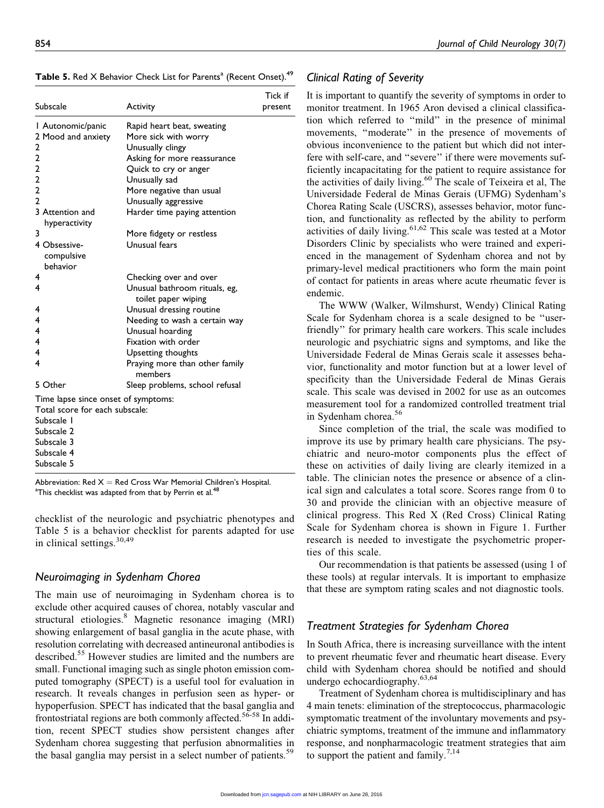| Subscale                            | <b>Activity</b>                           | Tick if<br>present |
|-------------------------------------|-------------------------------------------|--------------------|
| Autonomic/panic                     | Rapid heart beat, sweating                |                    |
| 2 Mood and anxiety                  | More sick with worry                      |                    |
| 2                                   | Unusually clingy                          |                    |
| 2<br>2                              | Asking for more reassurance               |                    |
| 2                                   | Quick to cry or anger<br>Unusually sad    |                    |
| $\overline{2}$                      | More negative than usual                  |                    |
| $\overline{2}$                      | Unusually aggressive                      |                    |
| 3 Attention and<br>hyperactivity    | Harder time paying attention              |                    |
| 3                                   | More fidgety or restless                  |                    |
| 4 Obsessive-<br>compulsive          | Unusual fears                             |                    |
| behavior                            |                                           |                    |
| 4                                   | Checking over and over                    |                    |
| 4                                   | Unusual bathroom rituals, eg,             |                    |
|                                     | toilet paper wiping                       |                    |
| 4                                   | Unusual dressing routine                  |                    |
| 4                                   | Needing to wash a certain way             |                    |
| 4                                   | Unusual hoarding                          |                    |
| 4                                   | Fixation with order                       |                    |
| 4<br>4                              | Upsetting thoughts                        |                    |
|                                     | Praying more than other family<br>members |                    |
| 5 Other                             | Sleep problems, school refusal            |                    |
| Time lapse since onset of symptoms: |                                           |                    |
| Total score for each subscale:      |                                           |                    |
| Subscale I                          |                                           |                    |
| Subscale 2                          |                                           |                    |
| Subscale 3                          |                                           |                    |
| Subscale 4<br>Subscale 5            |                                           |                    |
|                                     |                                           |                    |

Table 5. Red X Behavior Check List for Parents<sup>a</sup> (Recent Onset).<sup>49</sup>

Abbreviation: Red  $X =$  Red Cross War Memorial Children's Hospital. <sup>a</sup>This checklist was adapted from that by Perrin et al.<sup>48</sup>

checklist of the neurologic and psychiatric phenotypes and Table 5 is a behavior checklist for parents adapted for use in clinical settings.30,49

## Neuroimaging in Sydenham Chorea

The main use of neuroimaging in Sydenham chorea is to exclude other acquired causes of chorea, notably vascular and structural etiologies.<sup>8</sup> Magnetic resonance imaging (MRI) showing enlargement of basal ganglia in the acute phase, with resolution correlating with decreased antineuronal antibodies is described.<sup>55</sup> However studies are limited and the numbers are small. Functional imaging such as single photon emission computed tomography (SPECT) is a useful tool for evaluation in research. It reveals changes in perfusion seen as hyper- or hypoperfusion. SPECT has indicated that the basal ganglia and frontostriatal regions are both commonly affected.<sup>56-58</sup> In addition, recent SPECT studies show persistent changes after Sydenham chorea suggesting that perfusion abnormalities in the basal ganglia may persist in a select number of patients.<sup>59</sup>

## Clinical Rating of Severity

It is important to quantify the severity of symptoms in order to monitor treatment. In 1965 Aron devised a clinical classification which referred to ''mild'' in the presence of minimal movements, ''moderate'' in the presence of movements of obvious inconvenience to the patient but which did not interfere with self-care, and ''severe'' if there were movements sufficiently incapacitating for the patient to require assistance for the activities of daily living.<sup>60</sup> The scale of Teixeira et al, The Universidade Federal de Minas Gerais (UFMG) Sydenham's Chorea Rating Scale (USCRS), assesses behavior, motor function, and functionality as reflected by the ability to perform activities of daily living.<sup>61,62</sup> This scale was tested at a Motor Disorders Clinic by specialists who were trained and experienced in the management of Sydenham chorea and not by primary-level medical practitioners who form the main point of contact for patients in areas where acute rheumatic fever is endemic.

The WWW (Walker, Wilmshurst, Wendy) Clinical Rating Scale for Sydenham chorea is a scale designed to be ''userfriendly'' for primary health care workers. This scale includes neurologic and psychiatric signs and symptoms, and like the Universidade Federal de Minas Gerais scale it assesses behavior, functionality and motor function but at a lower level of specificity than the Universidade Federal de Minas Gerais scale. This scale was devised in 2002 for use as an outcomes measurement tool for a randomized controlled treatment trial in Sydenham chorea.<sup>56</sup>

Since completion of the trial, the scale was modified to improve its use by primary health care physicians. The psychiatric and neuro-motor components plus the effect of these on activities of daily living are clearly itemized in a table. The clinician notes the presence or absence of a clinical sign and calculates a total score. Scores range from 0 to 30 and provide the clinician with an objective measure of clinical progress. This Red X (Red Cross) Clinical Rating Scale for Sydenham chorea is shown in Figure 1. Further research is needed to investigate the psychometric properties of this scale.

Our recommendation is that patients be assessed (using 1 of these tools) at regular intervals. It is important to emphasize that these are symptom rating scales and not diagnostic tools.

## Treatment Strategies for Sydenham Chorea

In South Africa, there is increasing surveillance with the intent to prevent rheumatic fever and rheumatic heart disease. Every child with Sydenham chorea should be notified and should undergo echocardiography.63,64

Treatment of Sydenham chorea is multidisciplinary and has 4 main tenets: elimination of the streptococcus, pharmacologic symptomatic treatment of the involuntary movements and psychiatric symptoms, treatment of the immune and inflammatory response, and nonpharmacologic treatment strategies that aim to support the patient and family.<sup>7,14</sup>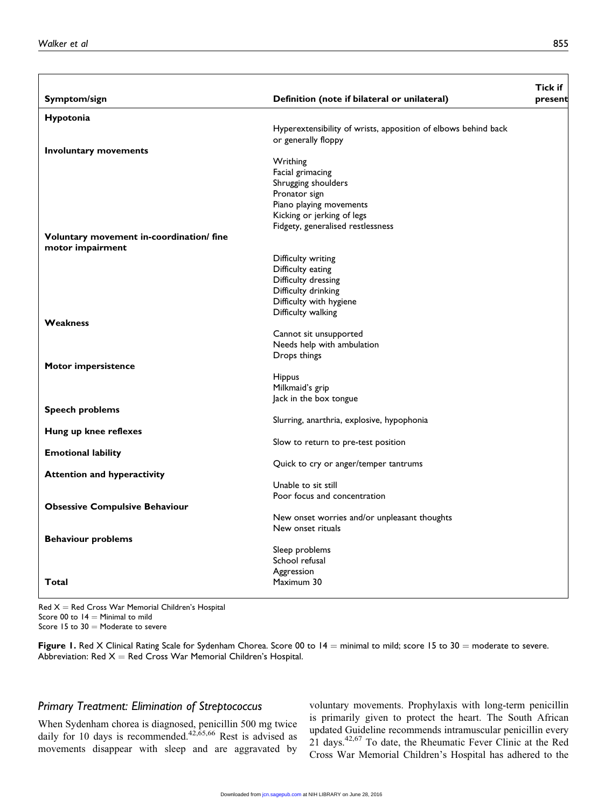|                                          |                                                                   | Tick if |
|------------------------------------------|-------------------------------------------------------------------|---------|
| Symptom/sign                             | Definition (note if bilateral or unilateral)                      | present |
| Hypotonia                                |                                                                   |         |
|                                          | Hyperextensibility of wrists, apposition of elbows behind back    |         |
|                                          | or generally floppy                                               |         |
| Involuntary movements                    | Writhing                                                          |         |
|                                          | Facial grimacing                                                  |         |
|                                          | Shrugging shoulders                                               |         |
|                                          | Pronator sign                                                     |         |
|                                          | Piano playing movements                                           |         |
|                                          | Kicking or jerking of legs                                        |         |
|                                          | Fidgety, generalised restlessness                                 |         |
| Voluntary movement in-coordination/ fine |                                                                   |         |
| motor impairment                         |                                                                   |         |
|                                          | Difficulty writing                                                |         |
|                                          | Difficulty eating                                                 |         |
|                                          | Difficulty dressing<br>Difficulty drinking                        |         |
|                                          | Difficulty with hygiene                                           |         |
|                                          | Difficulty walking                                                |         |
| Weakness                                 |                                                                   |         |
|                                          | Cannot sit unsupported                                            |         |
|                                          | Needs help with ambulation                                        |         |
|                                          | Drops things                                                      |         |
| Motor impersistence                      |                                                                   |         |
|                                          | <b>Hippus</b>                                                     |         |
|                                          | Milkmaid's grip                                                   |         |
| <b>Speech problems</b>                   | Jack in the box tongue                                            |         |
|                                          | Slurring, anarthria, explosive, hypophonia                        |         |
| Hung up knee reflexes                    |                                                                   |         |
|                                          | Slow to return to pre-test position                               |         |
| <b>Emotional lability</b>                |                                                                   |         |
|                                          | Quick to cry or anger/temper tantrums                             |         |
| <b>Attention and hyperactivity</b>       |                                                                   |         |
|                                          | Unable to sit still                                               |         |
|                                          | Poor focus and concentration                                      |         |
| <b>Obsessive Compulsive Behaviour</b>    |                                                                   |         |
|                                          | New onset worries and/or unpleasant thoughts<br>New onset rituals |         |
| <b>Behaviour problems</b>                |                                                                   |         |
|                                          | Sleep problems                                                    |         |
|                                          | School refusal                                                    |         |
|                                          | Aggression                                                        |         |
| Total                                    | Maximum 30                                                        |         |
|                                          |                                                                   |         |

 $Red X = Red Cross War Memorial Children's Hospital$ Score 00 to  $14$  = Minimal to mild Score 15 to  $30 =$  Moderate to severe

Figure 1. Red X Clinical Rating Scale for Sydenham Chorea. Score 00 to  $14 =$  minimal to mild; score 15 to 30 = moderate to severe. Abbreviation: Red  $X =$  Red Cross War Memorial Children's Hospital.

## Primary Treatment: Elimination of Streptococcus

When Sydenham chorea is diagnosed, penicillin 500 mg twice daily for 10 days is recommended.<sup>42, $\overline{6}$ 5,66</sup> Rest is advised as movements disappear with sleep and are aggravated by voluntary movements. Prophylaxis with long-term penicillin is primarily given to protect the heart. The South African updated Guideline recommends intramuscular penicillin every 21 days.42,67 To date, the Rheumatic Fever Clinic at the Red Cross War Memorial Children's Hospital has adhered to the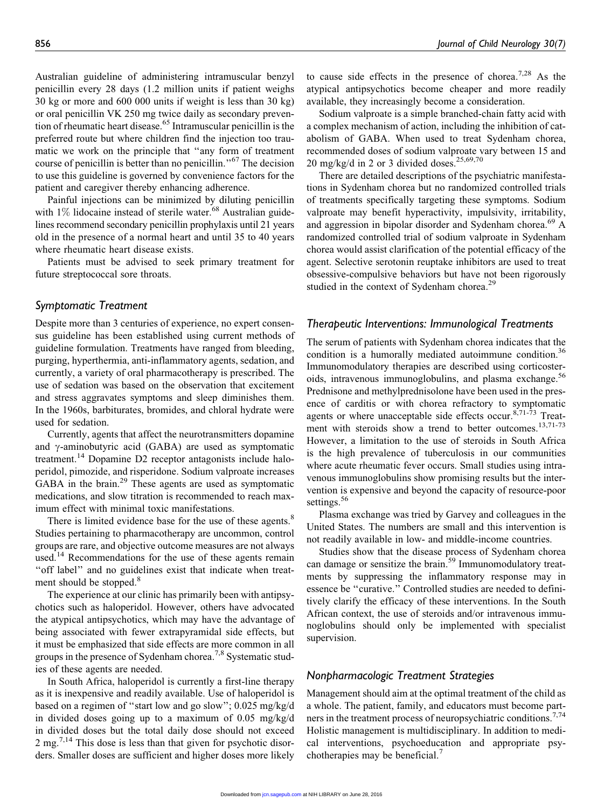Australian guideline of administering intramuscular benzyl penicillin every 28 days (1.2 million units if patient weighs 30 kg or more and 600 000 units if weight is less than 30 kg) or oral penicillin VK 250 mg twice daily as secondary prevention of rheumatic heart disease.<sup>65</sup> Intramuscular penicillin is the preferred route but where children find the injection too traumatic we work on the principle that ''any form of treatment course of penicillin is better than no penicillin.''<sup>67</sup> The decision to use this guideline is governed by convenience factors for the patient and caregiver thereby enhancing adherence.

Painful injections can be minimized by diluting penicillin with  $1\%$  lidocaine instead of sterile water.<sup>68</sup> Australian guidelines recommend secondary penicillin prophylaxis until 21 years old in the presence of a normal heart and until 35 to 40 years where rheumatic heart disease exists.

Patients must be advised to seek primary treatment for future streptococcal sore throats.

## Symptomatic Treatment

Despite more than 3 centuries of experience, no expert consensus guideline has been established using current methods of guideline formulation. Treatments have ranged from bleeding, purging, hyperthermia, anti-inflammatory agents, sedation, and currently, a variety of oral pharmacotherapy is prescribed. The use of sedation was based on the observation that excitement and stress aggravates symptoms and sleep diminishes them. In the 1960s, barbiturates, bromides, and chloral hydrate were used for sedation.

Currently, agents that affect the neurotransmitters dopamine and  $\gamma$ -aminobutyric acid (GABA) are used as symptomatic treatment.<sup>14</sup> Dopamine D2 receptor antagonists include haloperidol, pimozide, and risperidone. Sodium valproate increases GABA in the brain.<sup>29</sup> These agents are used as symptomatic medications, and slow titration is recommended to reach maximum effect with minimal toxic manifestations.

There is limited evidence base for the use of these agents.<sup>8</sup> Studies pertaining to pharmacotherapy are uncommon, control groups are rare, and objective outcome measures are not always used.<sup>14</sup> Recommendations for the use of these agents remain "off label" and no guidelines exist that indicate when treatment should be stopped.<sup>8</sup>

The experience at our clinic has primarily been with antipsychotics such as haloperidol. However, others have advocated the atypical antipsychotics, which may have the advantage of being associated with fewer extrapyramidal side effects, but it must be emphasized that side effects are more common in all groups in the presence of Sydenham chorea.<sup>7,8</sup> Systematic studies of these agents are needed.

In South Africa, haloperidol is currently a first-line therapy as it is inexpensive and readily available. Use of haloperidol is based on a regimen of ''start low and go slow''; 0.025 mg/kg/d in divided doses going up to a maximum of 0.05 mg/kg/d in divided doses but the total daily dose should not exceed 2 mg.<sup>7,14</sup> This dose is less than that given for psychotic disorders. Smaller doses are sufficient and higher doses more likely

to cause side effects in the presence of chorea.<sup>7,28</sup> As the atypical antipsychotics become cheaper and more readily available, they increasingly become a consideration.

Sodium valproate is a simple branched-chain fatty acid with a complex mechanism of action, including the inhibition of catabolism of GABA. When used to treat Sydenham chorea, recommended doses of sodium valproate vary between 15 and 20 mg/kg/d in 2 or 3 divided doses.<sup>25,69,70</sup>

There are detailed descriptions of the psychiatric manifestations in Sydenham chorea but no randomized controlled trials of treatments specifically targeting these symptoms. Sodium valproate may benefit hyperactivity, impulsivity, irritability, and aggression in bipolar disorder and Sydenham chorea.<sup>69</sup> A randomized controlled trial of sodium valproate in Sydenham chorea would assist clarification of the potential efficacy of the agent. Selective serotonin reuptake inhibitors are used to treat obsessive-compulsive behaviors but have not been rigorously studied in the context of Sydenham chorea.<sup>29</sup>

#### Therapeutic Interventions: Immunological Treatments

The serum of patients with Sydenham chorea indicates that the condition is a humorally mediated autoimmune condition.<sup>36</sup> Immunomodulatory therapies are described using corticosteroids, intravenous immunoglobulins, and plasma exchange.<sup>56</sup> Prednisone and methylprednisolone have been used in the presence of carditis or with chorea refractory to symptomatic agents or where unacceptable side effects occur.  $8,71-73$  Treatment with steroids show a trend to better outcomes.<sup>13,71-73</sup> However, a limitation to the use of steroids in South Africa is the high prevalence of tuberculosis in our communities where acute rheumatic fever occurs. Small studies using intravenous immunoglobulins show promising results but the intervention is expensive and beyond the capacity of resource-poor settings.<sup>56</sup>

Plasma exchange was tried by Garvey and colleagues in the United States. The numbers are small and this intervention is not readily available in low- and middle-income countries.

Studies show that the disease process of Sydenham chorea can damage or sensitize the brain.<sup>59</sup> Immunomodulatory treatments by suppressing the inflammatory response may in essence be ''curative.'' Controlled studies are needed to definitively clarify the efficacy of these interventions. In the South African context, the use of steroids and/or intravenous immunoglobulins should only be implemented with specialist supervision.

## Nonpharmacologic Treatment Strategies

Management should aim at the optimal treatment of the child as a whole. The patient, family, and educators must become partners in the treatment process of neuropsychiatric conditions.<sup>7,74</sup> Holistic management is multidisciplinary. In addition to medical interventions, psychoeducation and appropriate psychotherapies may be beneficial.<sup>7</sup>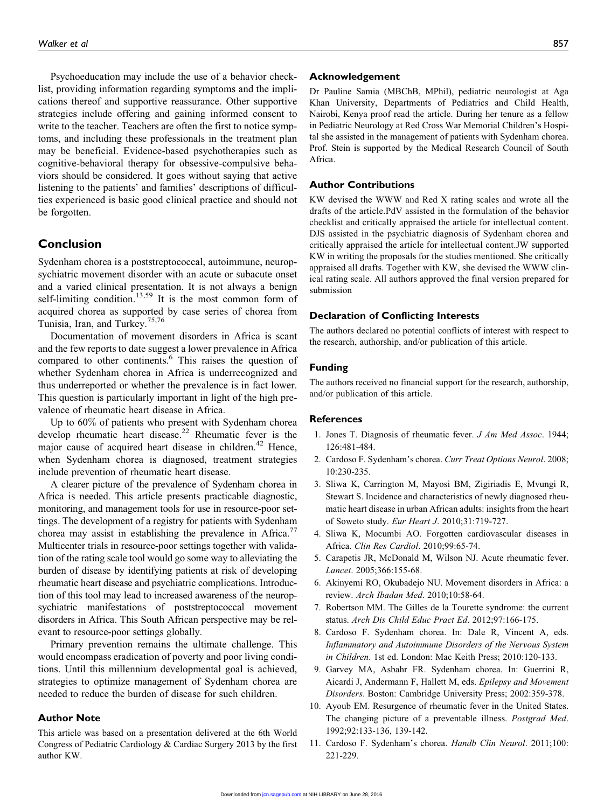Psychoeducation may include the use of a behavior checklist, providing information regarding symptoms and the implications thereof and supportive reassurance. Other supportive strategies include offering and gaining informed consent to write to the teacher. Teachers are often the first to notice symptoms, and including these professionals in the treatment plan may be beneficial. Evidence-based psychotherapies such as cognitive-behavioral therapy for obsessive-compulsive behaviors should be considered. It goes without saying that active listening to the patients' and families' descriptions of difficulties experienced is basic good clinical practice and should not be forgotten.

## Conclusion

Sydenham chorea is a poststreptococcal, autoimmune, neuropsychiatric movement disorder with an acute or subacute onset and a varied clinical presentation. It is not always a benign self-limiting condition.<sup>13,59</sup> It is the most common form of acquired chorea as supported by case series of chorea from Tunisia, Iran, and Turkey.<sup>75,76</sup>

Documentation of movement disorders in Africa is scant and the few reports to date suggest a lower prevalence in Africa compared to other continents.<sup>6</sup> This raises the question of whether Sydenham chorea in Africa is underrecognized and thus underreported or whether the prevalence is in fact lower. This question is particularly important in light of the high prevalence of rheumatic heart disease in Africa.

Up to 60% of patients who present with Sydenham chorea develop rheumatic heart disease.<sup>22</sup> Rheumatic fever is the major cause of acquired heart disease in children.<sup>42</sup> Hence, when Sydenham chorea is diagnosed, treatment strategies include prevention of rheumatic heart disease.

A clearer picture of the prevalence of Sydenham chorea in Africa is needed. This article presents practicable diagnostic, monitoring, and management tools for use in resource-poor settings. The development of a registry for patients with Sydenham chorea may assist in establishing the prevalence in Africa. $\frac{7}{2}$ Multicenter trials in resource-poor settings together with validation of the rating scale tool would go some way to alleviating the burden of disease by identifying patients at risk of developing rheumatic heart disease and psychiatric complications. Introduction of this tool may lead to increased awareness of the neuropsychiatric manifestations of poststreptococcal movement disorders in Africa. This South African perspective may be relevant to resource-poor settings globally.

Primary prevention remains the ultimate challenge. This would encompass eradication of poverty and poor living conditions. Until this millennium developmental goal is achieved, strategies to optimize management of Sydenham chorea are needed to reduce the burden of disease for such children.

#### Author Note

This article was based on a presentation delivered at the 6th World Congress of Pediatric Cardiology & Cardiac Surgery 2013 by the first author KW.

#### Acknowledgement

Dr Pauline Samia (MBChB, MPhil), pediatric neurologist at Aga Khan University, Departments of Pediatrics and Child Health, Nairobi, Kenya proof read the article. During her tenure as a fellow in Pediatric Neurology at Red Cross War Memorial Children's Hospital she assisted in the management of patients with Sydenham chorea. Prof. Stein is supported by the Medical Research Council of South Africa.

#### Author Contributions

KW devised the WWW and Red X rating scales and wrote all the drafts of the article.PdV assisted in the formulation of the behavior checklist and critically appraised the article for intellectual content. DJS assisted in the psychiatric diagnosis of Sydenham chorea and critically appraised the article for intellectual content.JW supported KW in writing the proposals for the studies mentioned. She critically appraised all drafts. Together with KW, she devised the WWW clinical rating scale. All authors approved the final version prepared for submission

### Declaration of Conflicting Interests

The authors declared no potential conflicts of interest with respect to the research, authorship, and/or publication of this article.

#### Funding

The authors received no financial support for the research, authorship, and/or publication of this article.

#### References

- 1. Jones T. Diagnosis of rheumatic fever. J Am Med Assoc. 1944; 126:481-484.
- 2. Cardoso F. Sydenham's chorea. Curr Treat Options Neurol. 2008; 10:230-235.
- 3. Sliwa K, Carrington M, Mayosi BM, Zigiriadis E, Mvungi R, Stewart S. Incidence and characteristics of newly diagnosed rheumatic heart disease in urban African adults: insights from the heart of Soweto study. Eur Heart J. 2010;31:719-727.
- 4. Sliwa K, Mocumbi AO. Forgotten cardiovascular diseases in Africa. Clin Res Cardiol. 2010;99:65-74.
- 5. Carapetis JR, McDonald M, Wilson NJ. Acute rheumatic fever. Lancet. 2005;366:155-68.
- 6. Akinyemi RO, Okubadejo NU. Movement disorders in Africa: a review. Arch Ibadan Med. 2010;10:58-64.
- 7. Robertson MM. The Gilles de la Tourette syndrome: the current status. Arch Dis Child Educ Pract Ed. 2012;97:166-175.
- 8. Cardoso F. Sydenham chorea. In: Dale R, Vincent A, eds. Inflammatory and Autoimmune Disorders of the Nervous System in Children. 1st ed. London: Mac Keith Press; 2010:120-133.
- 9. Garvey MA, Asbahr FR. Sydenham chorea. In: Guerrini R, Aicardi J, Andermann F, Hallett M, eds. Epilepsy and Movement Disorders. Boston: Cambridge University Press; 2002:359-378.
- 10. Ayoub EM. Resurgence of rheumatic fever in the United States. The changing picture of a preventable illness. Postgrad Med. 1992;92:133-136, 139-142.
- 11. Cardoso F. Sydenham's chorea. Handb Clin Neurol. 2011;100: 221-229.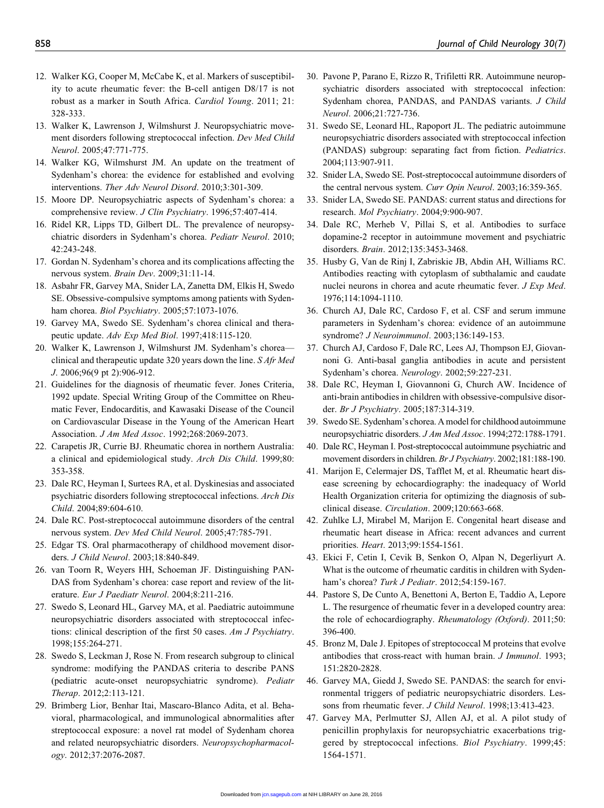- 12. Walker KG, Cooper M, McCabe K, et al. Markers of susceptibility to acute rheumatic fever: the B-cell antigen D8/17 is not robust as a marker in South Africa. Cardiol Young. 2011; 21: 328-333.
- 13. Walker K, Lawrenson J, Wilmshurst J. Neuropsychiatric movement disorders following streptococcal infection. Dev Med Child Neurol. 2005;47:771-775.
- 14. Walker KG, Wilmshurst JM. An update on the treatment of Sydenham's chorea: the evidence for established and evolving interventions. Ther Adv Neurol Disord. 2010;3:301-309.
- 15. Moore DP. Neuropsychiatric aspects of Sydenham's chorea: a comprehensive review. J Clin Psychiatry. 1996;57:407-414.
- 16. Ridel KR, Lipps TD, Gilbert DL. The prevalence of neuropsychiatric disorders in Sydenham's chorea. Pediatr Neurol. 2010; 42:243-248.
- 17. Gordan N. Sydenham's chorea and its complications affecting the nervous system. Brain Dev. 2009;31:11-14.
- 18. Asbahr FR, Garvey MA, Snider LA, Zanetta DM, Elkis H, Swedo SE. Obsessive-compulsive symptoms among patients with Sydenham chorea. Biol Psychiatry. 2005;57:1073-1076.
- 19. Garvey MA, Swedo SE. Sydenham's chorea clinical and therapeutic update. Adv Exp Med Biol. 1997;418:115-120.
- 20. Walker K, Lawrenson J, Wilmshurst JM. Sydenham's chorea clinical and therapeutic update 320 years down the line. S Afr Med J. 2006;96(9 pt 2):906-912.
- 21. Guidelines for the diagnosis of rheumatic fever. Jones Criteria, 1992 update. Special Writing Group of the Committee on Rheumatic Fever, Endocarditis, and Kawasaki Disease of the Council on Cardiovascular Disease in the Young of the American Heart Association. J Am Med Assoc. 1992;268:2069-2073.
- 22. Carapetis JR, Currie BJ. Rheumatic chorea in northern Australia: a clinical and epidemiological study. Arch Dis Child. 1999;80: 353-358.
- 23. Dale RC, Heyman I, Surtees RA, et al. Dyskinesias and associated psychiatric disorders following streptococcal infections. Arch Dis Child. 2004;89:604-610.
- 24. Dale RC. Post-streptococcal autoimmune disorders of the central nervous system. Dev Med Child Neurol. 2005;47:785-791.
- 25. Edgar TS. Oral pharmacotherapy of childhood movement disorders. J Child Neurol. 2003;18:840-849.
- 26. van Toorn R, Weyers HH, Schoeman JF. Distinguishing PAN-DAS from Sydenham's chorea: case report and review of the literature. Eur J Paediatr Neurol. 2004;8:211-216.
- 27. Swedo S, Leonard HL, Garvey MA, et al. Paediatric autoimmune neuropsychiatric disorders associated with streptococcal infections: clinical description of the first 50 cases. Am J Psychiatry. 1998;155:264-271.
- 28. Swedo S, Leckman J, Rose N. From research subgroup to clinical syndrome: modifying the PANDAS criteria to describe PANS (pediatric acute-onset neuropsychiatric syndrome). Pediatr Therap. 2012;2:113-121.
- 29. Brimberg Lior, Benhar Itai, Mascaro-Blanco Adita, et al. Behavioral, pharmacological, and immunological abnormalities after streptococcal exposure: a novel rat model of Sydenham chorea and related neuropsychiatric disorders. Neuropsychopharmacology. 2012;37:2076-2087.
- 30. Pavone P, Parano E, Rizzo R, Trifiletti RR. Autoimmune neuropsychiatric disorders associated with streptococcal infection: Sydenham chorea, PANDAS, and PANDAS variants. J Child Neurol. 2006;21:727-736.
- 31. Swedo SE, Leonard HL, Rapoport JL. The pediatric autoimmune neuropsychiatric disorders associated with streptococcal infection (PANDAS) subgroup: separating fact from fiction. Pediatrics. 2004;113:907-911.
- 32. Snider LA, Swedo SE. Post-streptococcal autoimmune disorders of the central nervous system. Curr Opin Neurol. 2003;16:359-365.
- 33. Snider LA, Swedo SE. PANDAS: current status and directions for research. Mol Psychiatry. 2004;9:900-907.
- 34. Dale RC, Merheb V, Pillai S, et al. Antibodies to surface dopamine-2 receptor in autoimmune movement and psychiatric disorders. Brain. 2012;135:3453-3468.
- 35. Husby G, Van de Rinj I, Zabriskie JB, Abdin AH, Williams RC. Antibodies reacting with cytoplasm of subthalamic and caudate nuclei neurons in chorea and acute rheumatic fever. *J Exp Med.* 1976;114:1094-1110.
- 36. Church AJ, Dale RC, Cardoso F, et al. CSF and serum immune parameters in Sydenham's chorea: evidence of an autoimmune syndrome? J Neuroimmunol. 2003;136:149-153.
- 37. Church AJ, Cardoso F, Dale RC, Lees AJ, Thompson EJ, Giovannoni G. Anti-basal ganglia antibodies in acute and persistent Sydenham's chorea. Neurology. 2002;59:227-231.
- 38. Dale RC, Heyman I, Giovannoni G, Church AW. Incidence of anti-brain antibodies in children with obsessive-compulsive disorder. Br J Psychiatry. 2005;187:314-319.
- 39. Swedo SE. Sydenham's chorea. A model for childhood autoimmune neuropsychiatric disorders. J Am Med Assoc. 1994;272:1788-1791.
- 40. Dale RC, Heyman I. Post-streptococcal autoimmune psychiatric and movement disorders in children. Br J Psychiatry. 2002;181:188-190.
- 41. Marijon E, Celermajer DS, Tafflet M, et al. Rheumatic heart disease screening by echocardiography: the inadequacy of World Health Organization criteria for optimizing the diagnosis of subclinical disease. Circulation. 2009;120:663-668.
- 42. Zuhlke LJ, Mirabel M, Marijon E. Congenital heart disease and rheumatic heart disease in Africa: recent advances and current priorities. Heart. 2013;99:1554-1561.
- 43. Ekici F, Cetin I, Cevik B, Senkon O, Alpan N, Degerliyurt A. What is the outcome of rheumatic carditis in children with Sydenham's chorea? Turk J Pediatr. 2012;54:159-167.
- 44. Pastore S, De Cunto A, Benettoni A, Berton E, Taddio A, Lepore L. The resurgence of rheumatic fever in a developed country area: the role of echocardiography. Rheumatology (Oxford). 2011;50: 396-400.
- 45. Bronz M, Dale J. Epitopes of streptococcal M proteins that evolve antibodies that cross-react with human brain. J Immunol. 1993; 151:2820-2828.
- 46. Garvey MA, Giedd J, Swedo SE. PANDAS: the search for environmental triggers of pediatric neuropsychiatric disorders. Lessons from rheumatic fever. J Child Neurol. 1998;13:413-423.
- 47. Garvey MA, Perlmutter SJ, Allen AJ, et al. A pilot study of penicillin prophylaxis for neuropsychiatric exacerbations triggered by streptococcal infections. Biol Psychiatry. 1999;45: 1564-1571.